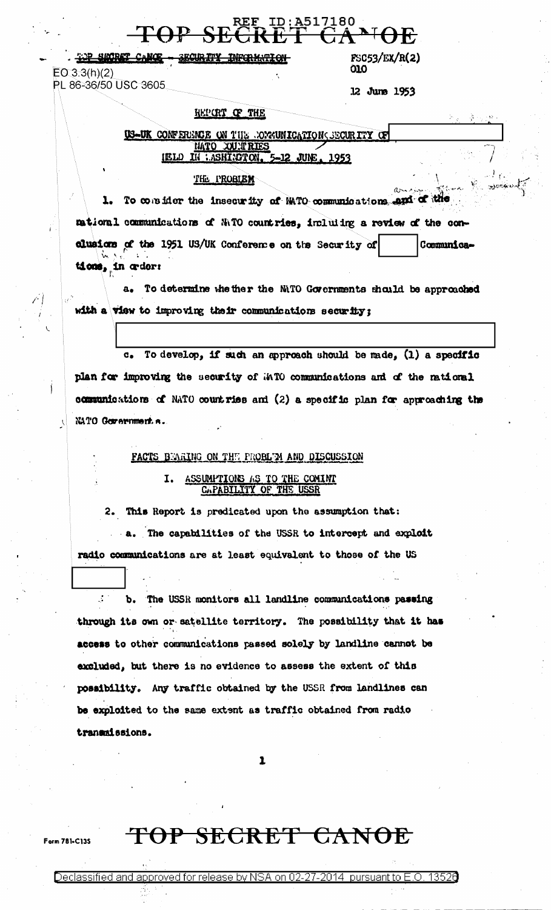TOP SHORET CANCE - SECURITY <del>INFORMATION</del>  $EO 3.3(h)(2)$ PL 86-36/50 USC 3605

FSC53/EX/R(2) **010** 

12 June 1953

#### HEPORT OF THE

US-UK CONFERENCE ON THE COMMITRATION CECURITY OF MATO XUNTRIES IN : ASHINOTON. JUNE 1953

<u> ID:A517180</u>

#### THE PROBIEN

1. To consider the insecurity of MATO communications and of the mational communications of NATO countries, including a review of the conclusions of the 1951 US/UK Conference on the Security of Communications, in order:

a. To determine whether the MITO Governments should be approached with a view to improving their communications security;

To develop, if such an approach should be made, (1) a specific **.** plan for improving the security of MTO communications and of the national communications of NATO countries and (2) a specific plan for approaching the NATO Government.s.

#### FACTS BUARING ON THE PROBLEM AND DISCUSSION

### I. ASSUMITIONS AS TO THE COMINT CAPABILITY OF THE USSR

2. This Report is predicated upon the assumption that:

a. The capabilities of the USSR to intercept and exploit radio communications are at least equivalent to those of the US

 $\mathcal{L}^{\mathcal{L}}$ The USSR monitors all landline communications passing Ъ. through its own or satellite territory. The possibility that it has access to other communications passed solely by landline cannot be excluded, but there is no evidence to assess the extent of this possibility. Any traffic obtained by the USSR from landlines can be exploited to the same extent as traffic obtained from radio transmissions.

 $\mathbf{r}$ 

### TOP SECRET CANOE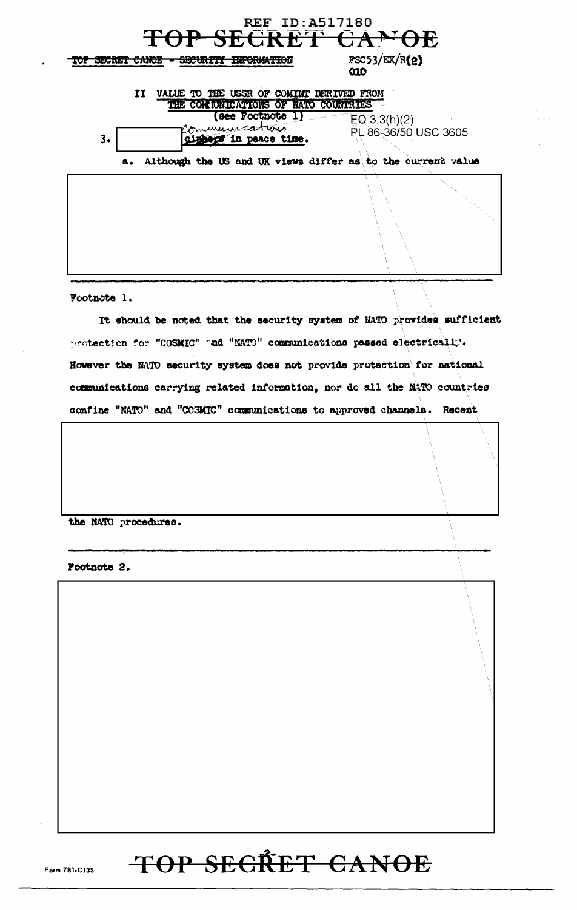| <b>REF ID:A517180</b><br>TOP SECRET CANOE                                                                                     |                                        |
|-------------------------------------------------------------------------------------------------------------------------------|----------------------------------------|
| <b>ENFORMATION</b><br>SECRET CARDE                                                                                            | FSC53/EX/R(2)<br>Q1Q                   |
| VALUE TO THE USSR OF COMINT DERIVED FROM<br>11<br>THE COMMUNICATIONS OF NATO COUNTRIES                                        |                                        |
| see Footnote 1)<br>minuucations<br>3.<br>'in peace time.<br>Although the US and UK views differ as to the current value<br>а. | EO $3.3(h)(2)$<br>PL 86-36/50 USC 3605 |
|                                                                                                                               |                                        |
|                                                                                                                               |                                        |

Footnote 1.

It should be noted that the security system of NATO provides sufficient protection for "COSMIC" and "NATO" communications passed electrically. However the NATO security system does not provide protection for national communications carrying related information, nor do all the NATO countries confine "NATO" and "COSMIC" communications to approved channels. Recent

the NATO procedures.

Pootnote 2.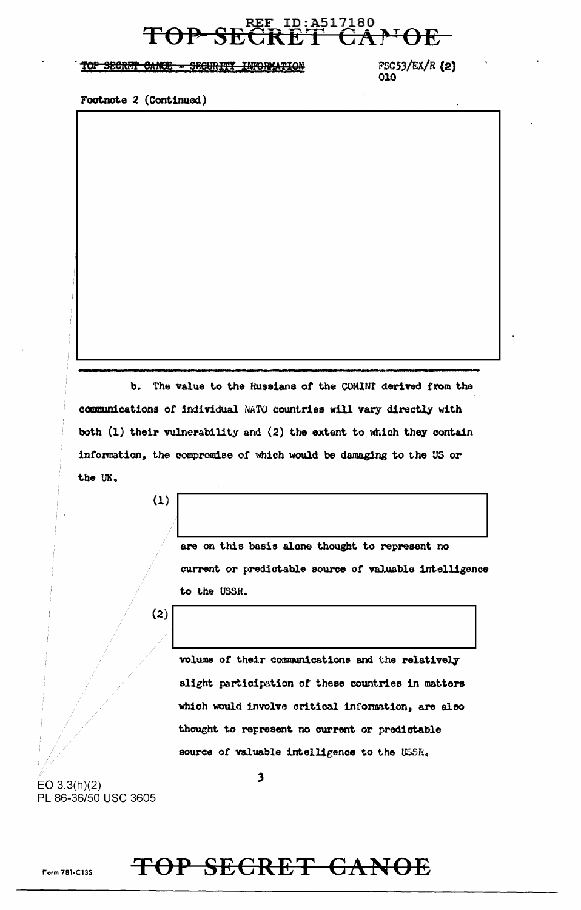### REF ID:A517180 TOP SECRET CAPOE

#### TOP SECRET CANCE - SECURITY INFORMATION

FSC53/EX/R (2) 010

Footnote 2 (Continued)

b. The value to the Russians of the COMINT derived from the communications of individual NATO countries will vary directly with both (1) their vulnerability and (2) the extent to which they contain information, the compromise of which would be damaging to the US or the UK.

 $(1)$ 

are on this basis alone thought to represent no current or predictable source of valuable intelligence to the USSR.

 $\begin{array}{|c|c|c|c|c|}\hline \text{(2)} & & & \text{(3)}\ \hline \end{array}$ 

volume of their communications and the relatively slight participation of these countries in matters which would involve critical information, are also thought to represent no current or predictable source of valuable intelligence to the USSR.

EO 3.3(h)(2) PL 86-36/50 USC 3605

### Form 781-Cl3S TOP SECRET CANOE

*3*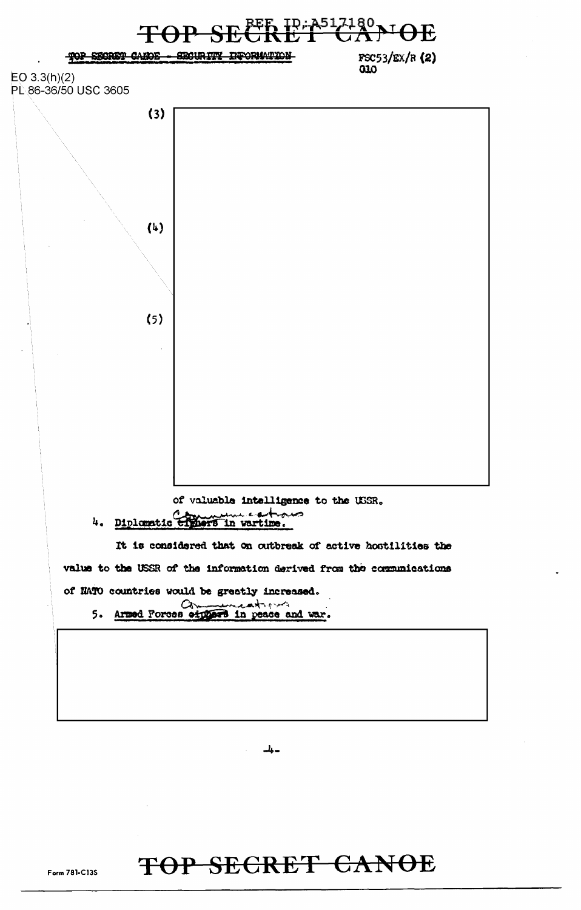

دراك

## TOP SECRET CANOE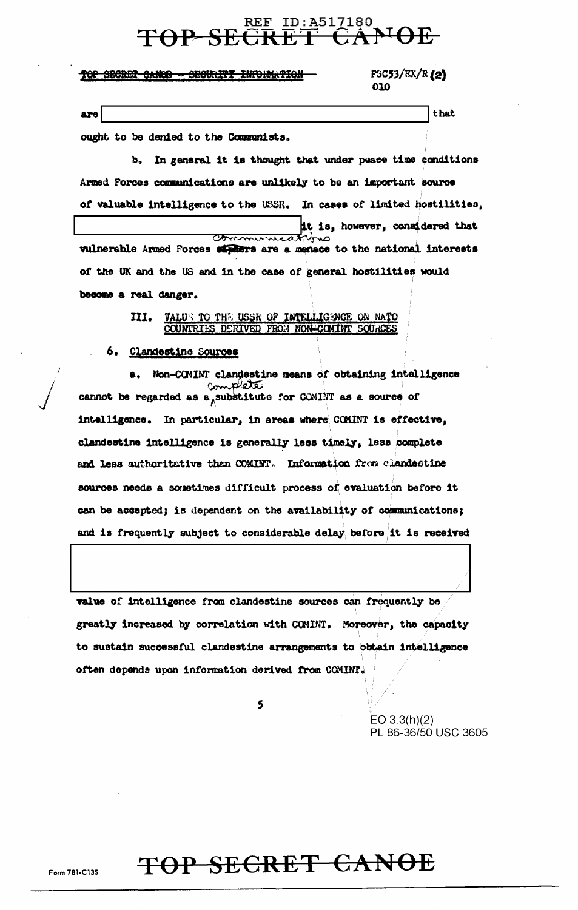# REF ID:A517180

#### TOP SECRET CANCE - SECURITY INFORMATION

FSC53/EX/R (2) 010

that

are

ought to be denied to the Communists.

b. In general it is thought that under peace time conditions Armed Forces communications are unlikely to be an important source of valuable intelligence to the USSR. In cases of limited hostilities, it is, however, considered that Commissioned the vulnerable Armed Forces cipilers are a menace to the national interests of the UK and the US and in the case of general hostilities would become a real danger.

#### III. VALUE TO THE USSR OF INTELLIGENCE ON NATO COUNTRIES DERIVED FROM NON-COMINT SOURCES

#### 6. Clandestine Sources

Non-COMINT clandestine means of obtaining intelligence complete cannot be regarded as a substitute for COMINT as a source of intelligence. In particular, in areas where CCMINT is effective, clandestine intelligence is generally less timely, less complete and less authoritative than COMINT. Information from clandestine sources needs a sometimes difficult process of evaluation before it can be accepted; is dependent on the availability of communications; and is frequently subject to considerable delay before it is received

value of intelligence from clandestine sources can frequently be greatly increased by correlation with COMINT. Moreover, the capacity to sustain successful clandestine arrangements to obtain intelligence often depends upon information derived from COMINT.

5

EO  $3.3(h)(2)$ PL 86-36/50 USC 3605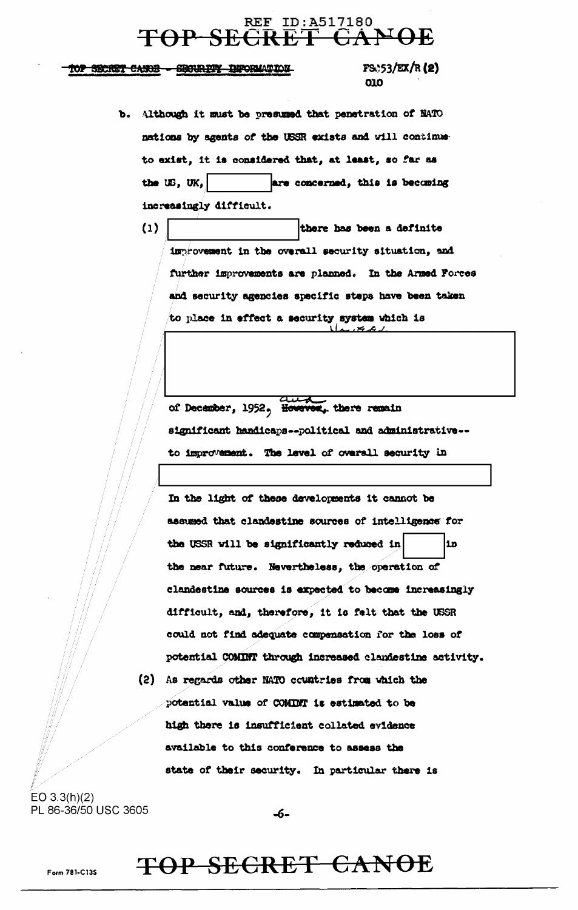#### REF ID: A517180  $+$ <del>P SECRET</del>

TOP SECRET CANOE - SECURITY INFORMATION

 $FS$ :53/EX/R(2) 010

- b. Although it must be presumed that penetration of NATO nations by agents of the USSR exists and will continue to exist, it is considered that, at least, so far as the  $US$ ,  $UK$ , are concerned, this is becoming increasingly difficult.
	- $(1)$ there has been a definite improvement in the overall security situation, and further improvements are planned. In the Armed Forces and security agencies specific steps have been taken to place in effect a security system which is

of December, 1952, However, there remain significant handicaps--political and administrative-to improvement. The level of overall security in

In the light of these developments it cannot be assumed that clandestine sources of intelligence for the USSR will be significantly reduced in lin the near future. Nevertheless, the operation of clandestine sources is expected to become increasingly difficult, and, therefore, it is felt that the USSR could not find adequate compensation for the loss of potential COMINT through increased clandestine activity.

(2) As regards other NATO countries from which the potential value of COMINT is estimated to be high there is insufficient collated evidence available to this conference to assess the state of their security. In particular there is

 $EO 3.3(h)(2)$ PL 86-36/50 USC 3605

-6-

### TOP SECRET CANOE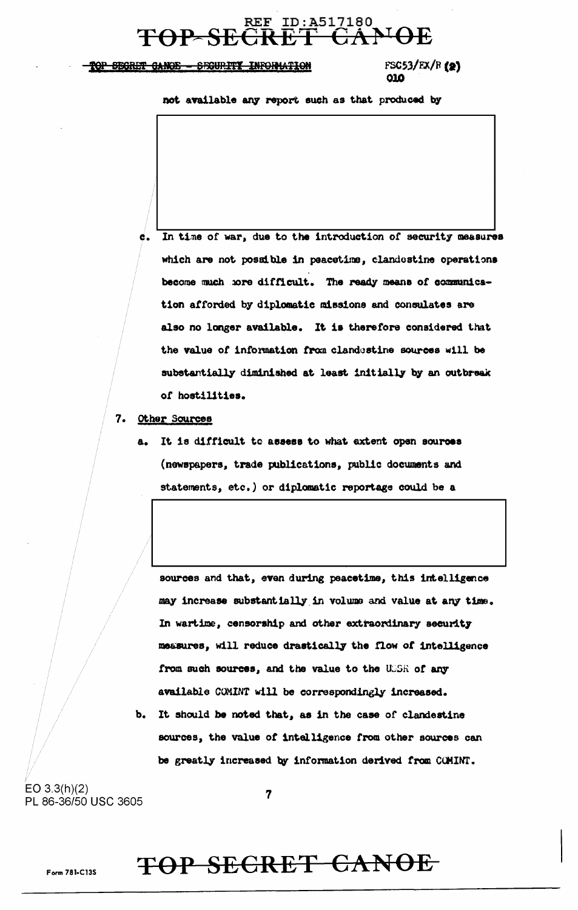# REF ID: A517180

#### TOP SEGRET GANOE - SECURITY INFORMATION

 $FSC53/EX/R$  (2) 010

not available any report such as that produced by

- In time of war, due to the introduction of security measures é. which are not possible in peacetime, clandestine operations become much hore difficult. The ready means of communication afforded by diplomatic missions and consulates are also no longer available. It is therefore considered that the value of information from clandestine sources will be substantially diminished at least initially by an outbreak of hostilities.
- 7. Other Sources
	- a. It is difficult to assess to what extent open sources (newspapers, trade publications, public documents and statements, etc.) or diplomatic reportage could be a

sources and that, even during peacetime, this intelligence may increase substantially in volume and value at any time. In wartime, censorship and other extraordinary security measures, will reduce drastically the flow of intelligence from such sources, and the value to the USSR of any available COMINT will be correspondingly increased.

b. It should be noted that, as in the case of clandestine sources, the value of intelligence from other sources can be greatly increased by information derived from COMINT.

 $EO 3.3(h)(2)$ PL 86-36/50 USC 3605

 $\overline{7}$ 

### TOP SECRET CANOE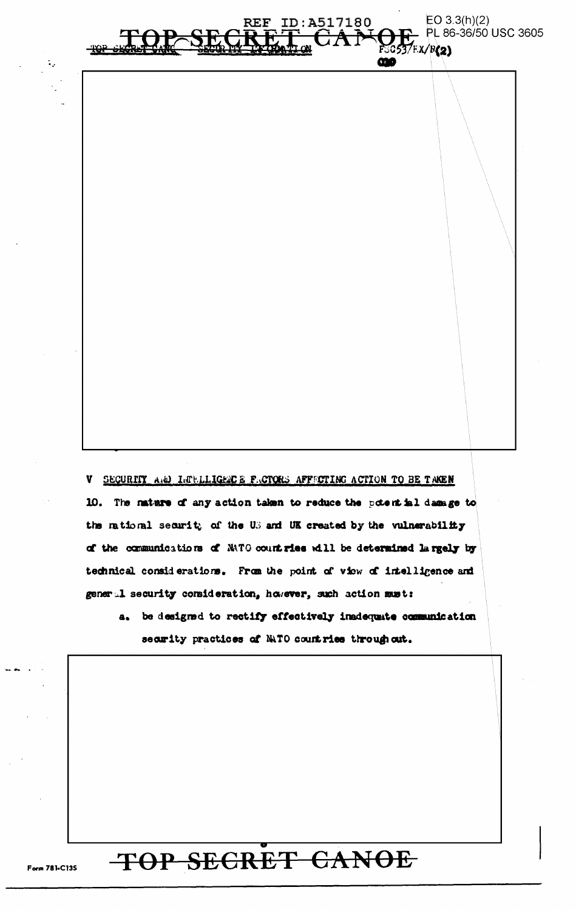$EO 3.3(h)(2)$ PL 86-36/50 USC 3605

 $F$ SG537F.X/ $B(2)$ 

ന്മ

V SECURITY AND LUBLLIGENCE FACTORS AFFECTING ACTION TO BE TAKEN 10. The nature of any action taken to reduce the potent inl damage to the rational security of the US and UK created by the vulnerability of the communications of NATO countries will be determined largely by technical considerations. From the point of view of intelligence and general security consideration, however, such action must:

ID:A517180

 $\frac{1}{100}$ 

a. be designed to rectify effectively inadequate communication security practices of NATO countries through cut.

## TOP SECRET CANOE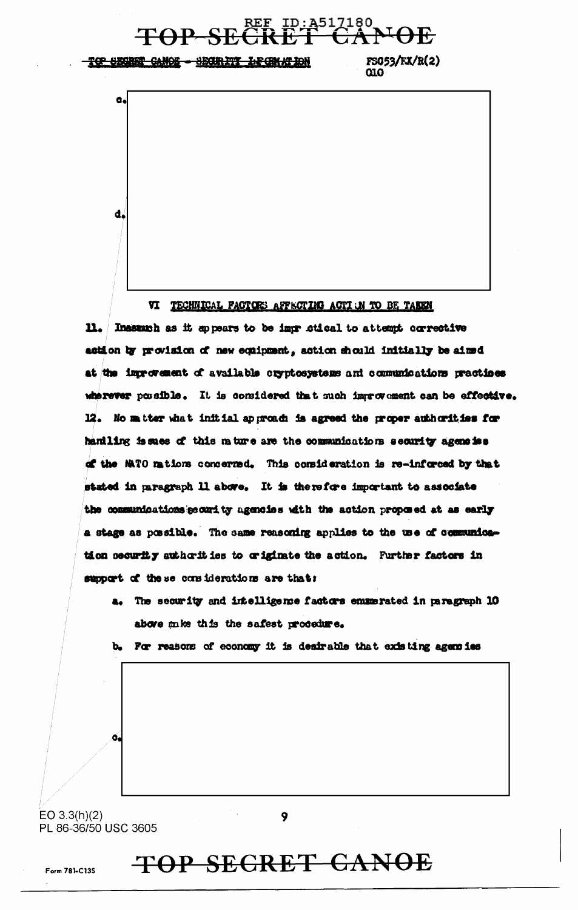

VI TECHNICAL FACTORS AFFICTING ACTI JN TO BE TAKEN

Inasumb as it appears to be impr ctical to attempt corrective  $\mathbf{n}$ . action by provision of new equipment, action should initially be aimed at the improvement of available cryptosystems and communications practices wherever possible. It is considered that such improvement can be effective. 12. No matter what initial approach is agreed the proper authorities for hantling issues of this mature are the communications security agencies of the MATO mations concerned. This consideration is re-inforced by that stated in paragraph 11 above. It is therefore important to associate the communications pecurity agencies with the action proposed at as early a stage as possible. The same reasoning applies to the use of communication security sutherities to criginate the action. Further factors in support of these considerations are that:

a. The security and intelligence factors emmerated in paragraph 10 above mike this the safest procedure.

For reasons of economy it is desirable that existing agencies Ъ.

 $EO$  3.3(h)(2) PL 86-36/50 USC 3605

9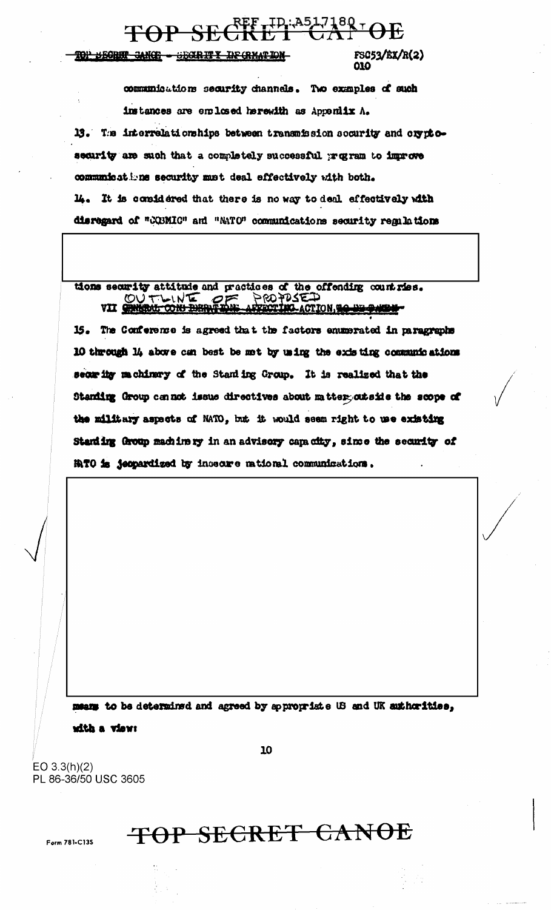#### $RFF$ , ID: A517180  $\tau$  OF **TOP SI**

#### <u> TOP BECRET CANCE – SECRITY IN CRMATION</u>

FSC53/EX/R(2) ΩΩ

communications security channels. Two examples of such instances are emlosed herewith as Appeniix A. 13. The interrelationships between transmission security and cryptosecurity are such that a completely successful program to improve communications security must deal effectively with both. 14. It is considered that there is no way to deal effectively with disregard of "COBMIC" and "NATO" communications security regulations

### tions security attitude and practices of the offending countries.<br>
WILLOWS TON DERNETON ACTION, TO BE PARE VII SHISRAL CON DIRING THE

15. The Conference is agreed that the factors enumerated in paragraphs 10 through 14 above can best be met by using the existing communications seom ity machinery of the Staniing Group. It is realized that the Standing Group cannot issue directives about matter outside the scope of the military aspects of NATO, but it would seem right to use existing Standing Group machinery in an advisory capacity, since the security of **ATO is jeopardized by incecare rational communications.** 

means to be determined and agreed by appropriate US and UK authorities,

10

with a view:

EO  $3.3(h)(2)$ PL 86-36/50 USC 3605

Form 781-C135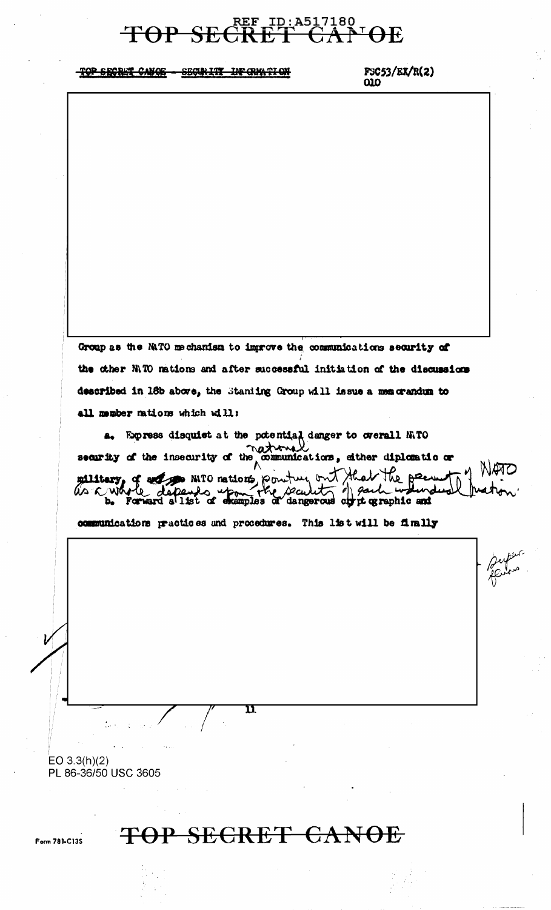#### REF ID: A517180 **TOP SE**  $\Theta$ E

TOP SECRET CANOE - SECURITY IN CRYATION

 $FSC53/EX/R(2)$  $010$ 

Group as the NATO mechanism to improve the communications security of the other NITO nations and after successful initiation of the discussions described in 18b above, the Staniing Group will issue a memorandum to all member nations which will:

**a.** Express disquist at the potential danger to overall N.TO<br>security of the insecurity of the communications, sither diplomatic or<br> $\overrightarrow{AB}$ military of any mil nations pointing but that the pecundus of a said when

communications practices and procedures. This list will be finally

EO  $3.3(h)(2)$ PL 86-36/50 USC 3605

Form 781-C135

TOP SECRET CANOE

 $\mathbf n$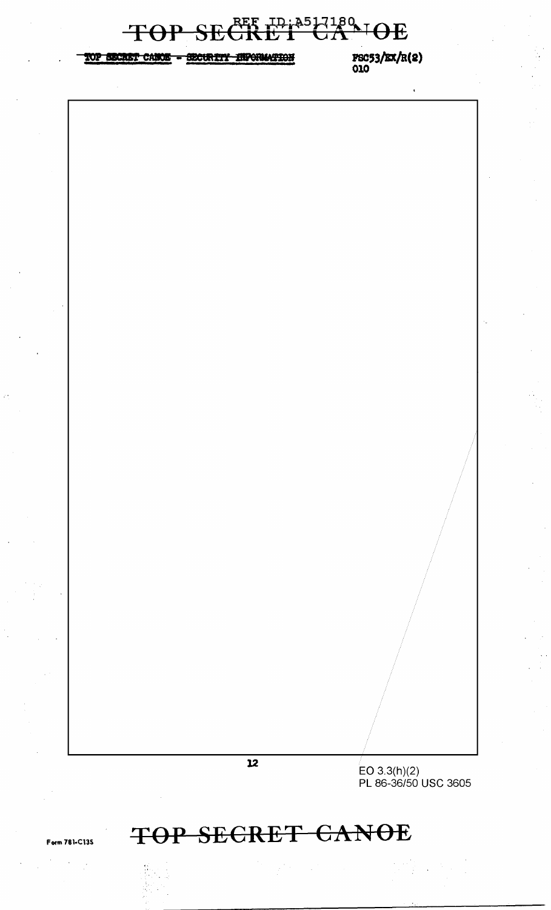

## **TOP SECRET CANOE**

Form 781·C13S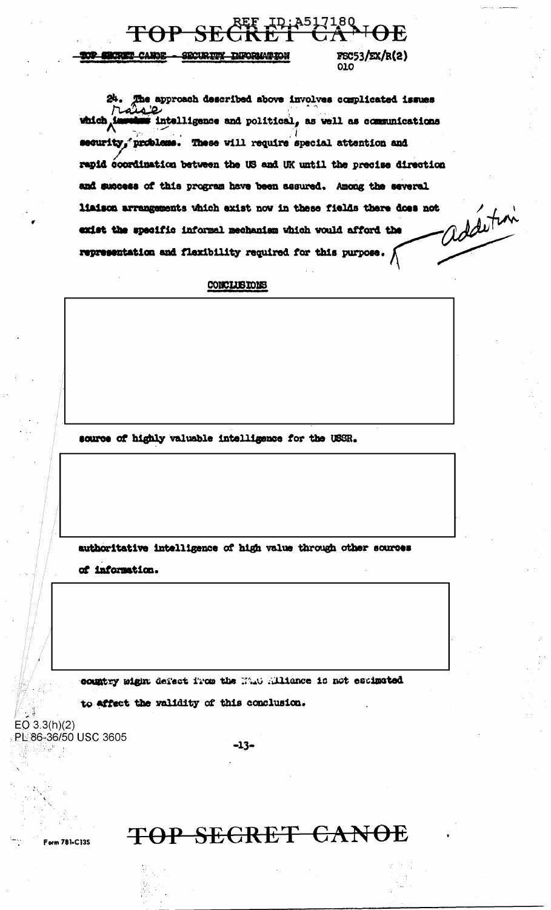$1^{180}$ TOP S

#### TOP SECRET CANOE - SECURITY INFORMATION

 $FSC53/EX/R(2)$  $010$ 

HF.

The approach described above involves complicated issues 24. which is Intelligence and political, as well as communications security, problems. These will require special attention and rapid coordination between the US and UK until the precise direction and success of this program have been assured. Among the several addition liaison arrangements which exist now in these fields there does not exist the specific informal mechanism which would afford the representation and flexibility required for this purpose.  $\bigwedge$ 

#### CONCLUBIONS

source of highly valuable intelligence for the USSR.

authoritative intelligence of high value through other sources

of information.

country wight defect from the MAN Alliance is not escimated

 $-13-$ 

to affect the validity of this conclusion.

 $EO 3.3(h)(2)$ PL 86-36/50 USC 3605

Form 781-C135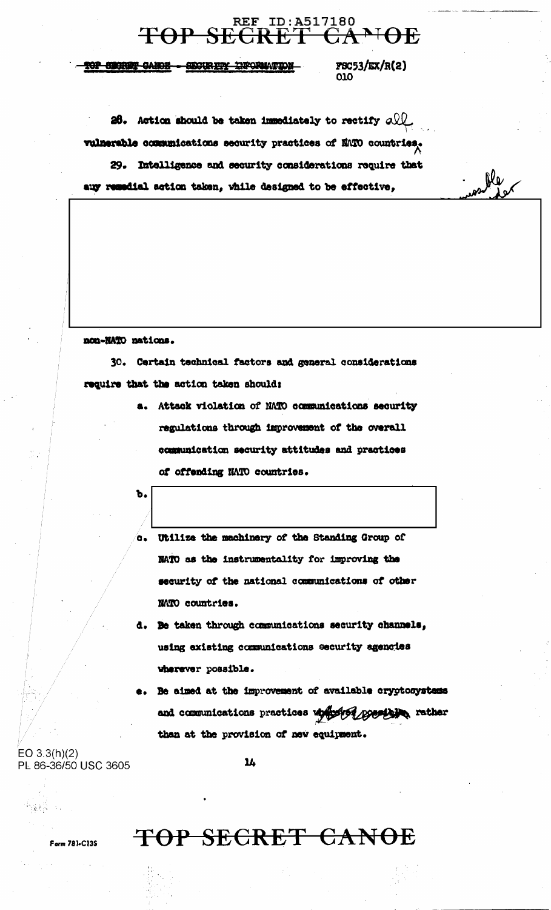

TOP SECRET CANDE - SECURITY INFORMATION

**FSC53/EX/R(2)** 010

Re

26. Action should be taken immediately to rectify  $\alpha$ vulnerable communications security practices of MATO countries, 29. Intelligence and security considerations require that auy remedial action taken, while designed to be effective,

#### non-NATO nations.

30. Certain technical factors and general considerations require that the action taken should:

> a. Attack violation of NATO communications security regulations through improvement of the overall communication security attitudes and practices of offending NATO countries.

ъ.

- c. Utilize the machinery of the Standing Group of NATO as the instrumentality for improving the security of the national communications of other NATO countries.
- d. Be taken through communications security channels, using existing communications security agencies wherever possible.
- Be aimed at the improvement of available cryptosystems and communications practices up providing possible, rather than at the provision of new equipment.

 $EO 3.3(h)(2)$ PL 86-36/50 USC 3605

Form 781-C13S

 $14$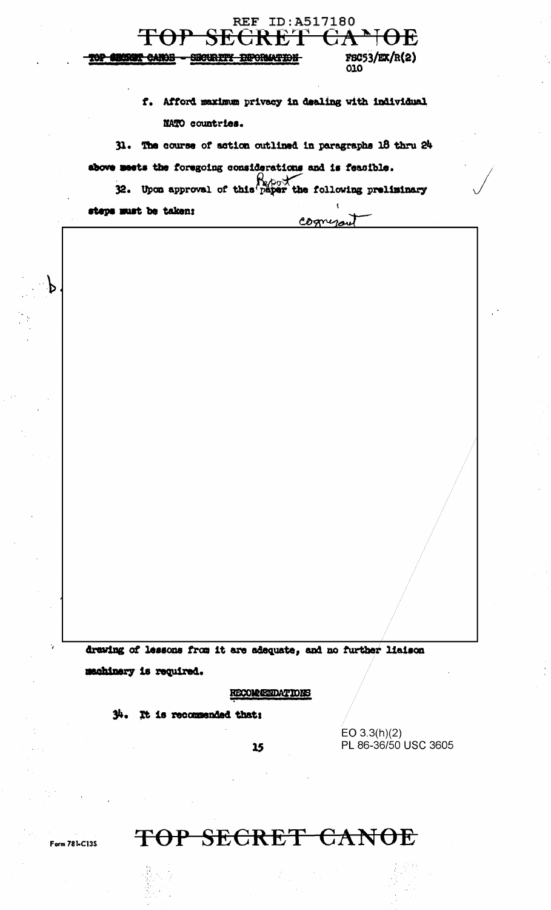

f. Afford maximum privacy in dealing with individual NATO countries.

cognerou

31. The course of action outlined in paragraphs 18 thru 24

above meets the foregoing considerations and is feasible.

32. Upon approval of this paper the following preliminary

steps must be taken:

 $\mathbf{P}$ 

drawing of lessons from it are adequate, and no further liaison machinery is required.

 $15$ 

**RECOMMENDATIONS** 

 $34.$  It is recommended that:

EO  $3.3(h)(2)$ PL 86-36/50 USC 3605

Form 781-C135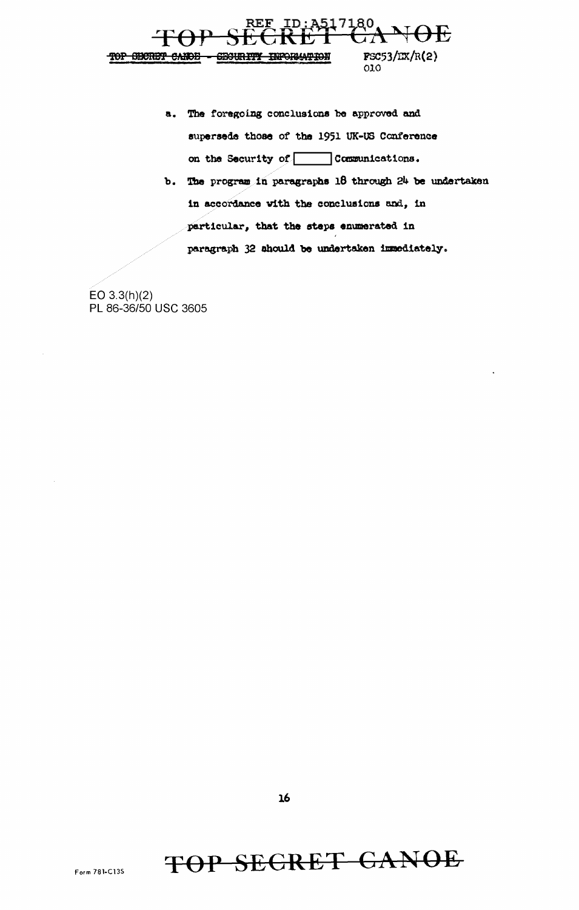

- a. The foregoing conclusions be approved and supersede those of the 1951 UK-US Conference on the Security of Communications.
- b. The program in paragraphs 18 through 24 be undertaken in accordance with the conclusions and, in particular, that the steps enumerated in paragraph 32 should be undertaken immediately.

 $EO 3.3(h)(2)$ PL 86-36/50 USC 3605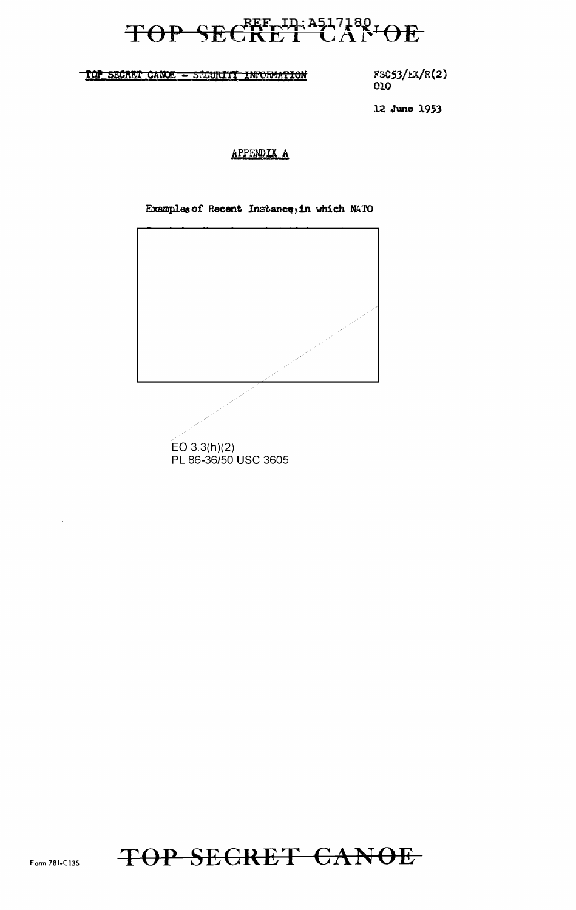# TOP SECRET LAND

TOP SECRET CANCE - SECURITI INFORMATION

FSC53/EX/R(2) 010

12 June 1953

#### APPENDIX A

Examples of Recent Instance; in which NATO



 $EO 3.3(h)(2)$ PL 86-36/50 USC 3605

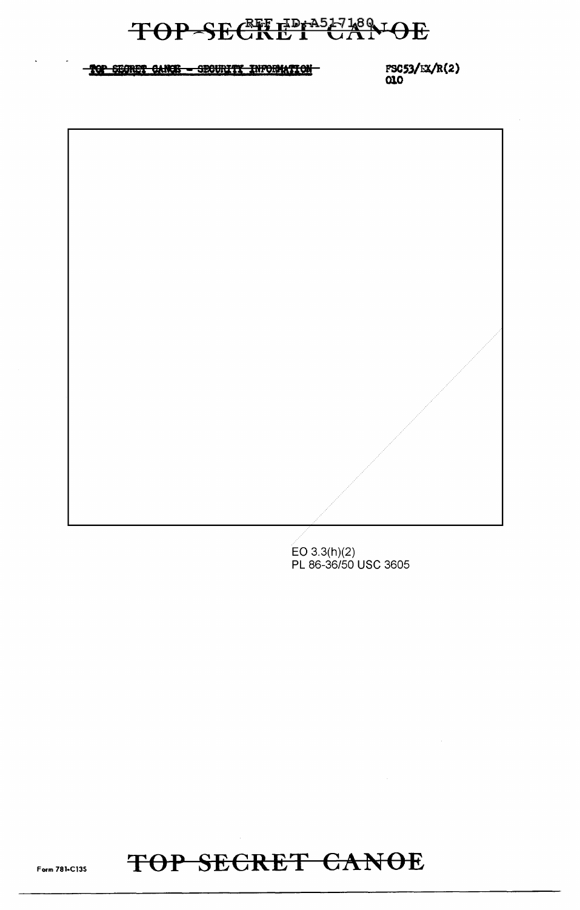## TOP-SECRET CANOE

#### TOP SEGRET CANCE - SECURITY INFORMATION

FSC53/EX/R(2)  $\alpha$ 

 $EO 3.3(h)(2)$ PL 86-36/50 USC 3605

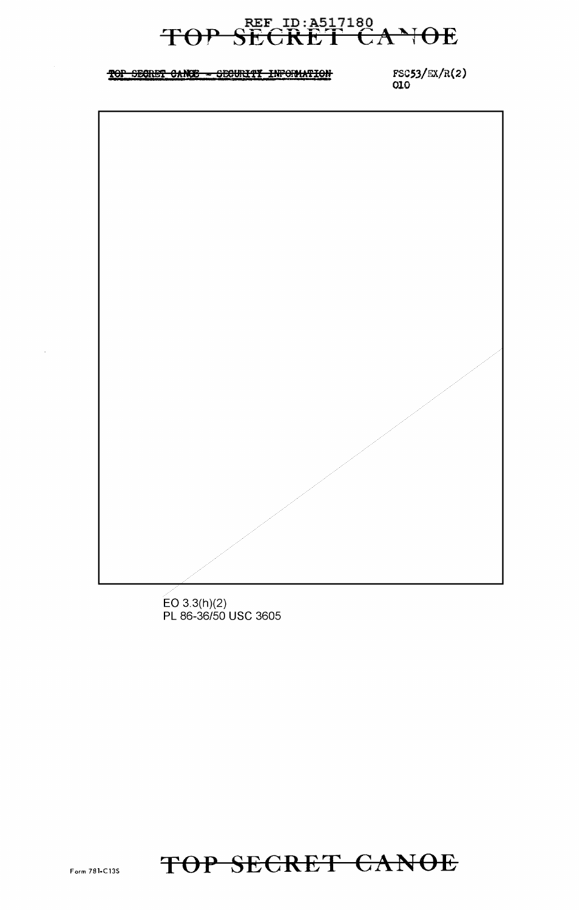### SECRET CANOE TOP

#### TOP SECRET CANCE - SECURITY INFORMATION

 $FSC53/EX/R(2)$ 010



 $EO 3.3(h)(2)$ PL 86-36/50 USC 3605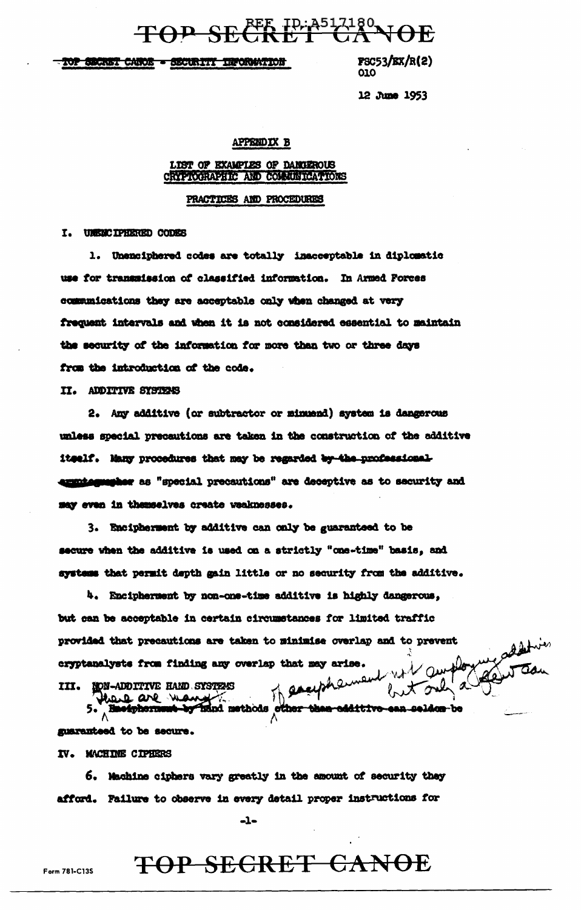TOP SECRETP: A517180

TOP SECRET CANOE - SECURITY INFORMATION

 $\texttt{FSC53}/\texttt{EX}/\texttt{R}(2)$ 010

12 June 1953

#### **APPENDIX B**

#### LIST OF EXAMPLES OF DANGEROUS CRYPTOGRAPHIC AND COMMUNICATIONS

#### PRACTICES AND PROCEDURES

I. UNENCIPHERED CODES

1. Unenciphered codes are totally inacceptable in diplomatic use for transmission of classified information. In Armed Forces communications they are acceptable only when changed at very frequent intervals and when it is not considered essential to maintain the security of the information for more than two or three days from the introduction of the code.

II. ADDITIVE SYSTEMS

2. Any additive (or subtractor or minuend) system is dangerous unless special precautions are taken in the construction of the additive itself. Many procedures that may be regarded by the professionalexaminguarher as "special precautions" are deceptive as to security and may even in themselves create weaknesses.

3. Encipherment by additive can only be guaranteed to be secure when the additive is used on a strictly "one-time" basis, and systems that permit depth gain little or no security from the additive.

4. Encipherment by non-one-time additive is highly dangerous, but can be acceptable in certain circumstances for limited traffic provided that precautions are taken to minimise overlap and to prevent with surfloy cryptanalysts from finding any overlap that may arise.

III. NON-ADDITIVE HAND SYSTEMS

of eachpharment thank are want to the the calitive 5. Bnoiphormu seldon-be

guaranteed to be secure.

IV. MACHINE CIPHERS

6. Machine ciphers vary greatly in the amount of security they afford. Failure to observe in every detail proper instructions for

 $-1-$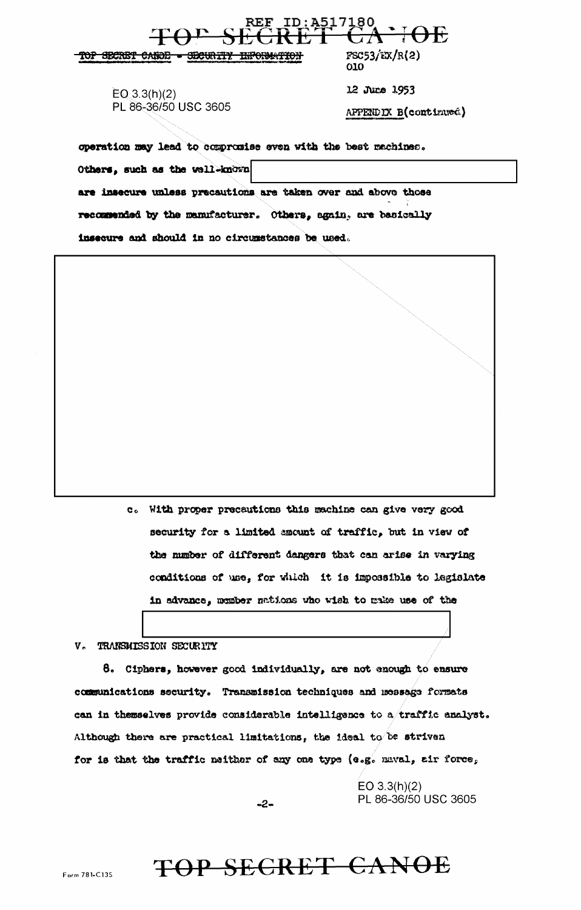ID: A517180 REF  $FSC53/EX/R(2)$ TOP SECRET CANOD - SECURITY INFORMATION 010 12 June 1953  $EO(3.3(h)(2))$ PL 86-36/50 USC 3605 APPENDIX B(continued) operation may lead to compromise even with the best machines. Others, such as the well-known are insecure unless precautions are taken over and above those

recommended by the manufacturer. Others, again, are basically

insecure and should in no circumstances be used.

c. With proper precautions this machine can give very good security for a limited amount of traffic, but in view of the number of different dangers that can arise in varying conditions of use, for which it is impossible to legislate in advance, member nations who wish to make use of the

V. TRANSMISSION SECURITY

8. Ciphers, however good individually, are not enough to ensure communications security. Transmission techniques and message formats can in themselves provide considerable intelligence to a traffic analyst. Although there are practical limitations, the ideal to be striven for is that the traffic neither of any one type (e.g. naval, air force,

> EO  $3.3(h)(2)$ PL 86-36/50 USC 3605

 $-2-$ 

TOP SECRET CANOE